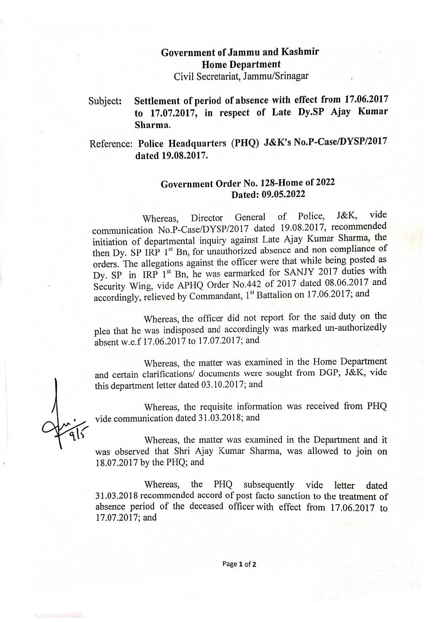## Government ofJammu and Kashmir Home Department

Civil Secretariat, Jammu/Srinagar

#### Settlement of period of absence with effect from 17.06.2017 to 17.07.2017, in respect of Late Dy.SP Ajay Kumar Sharma. Subject:

### Reference: Police Headquarters (PHQ) J&K's No.P-Case/DYSP/2017 dated 19.08.2017.

#### Government Order No. 128-Home of 2022 Dated: 09.05.2022

Whereas, Director General of Police, J&K, vide communication No.P-Case/DYSP/2017 dated 19.08.2017, recommended initiation of departmental inquiry against Late Ajay Kumar Sharma, the then Dy. SP IRP 1<sup>st</sup> Bn, for unauthorized absence and non compliance of orders. The allegations against the officer were that while being posted as Dy. SP in IRP 1<sup>st</sup> Bn, he was earmarked for SANJY 2017 duties with Security Wing, vide APHQ Order No.442 of <sup>2017</sup> dated 08.06.2017 and accordingly, relieved by Commandant, 1" Battalion on 17.06.2017; and

Whereas, the officer did not report for the said duty on the plea that he was indisposed and accordingly was marked un-authorizedly absent w.e.f 17.06.2017 to 17.07.2017; and

Whereas, the matter was examined in the Home Department and certain clarifications/ documents were sought from DGP, J&K, vide this department letter dated 03.10.2017; and

Whereas, the requisite information was received from PHQ vide communication dated <sup>3</sup> 1.03.2018; and

Whereas, the matter was examined in the Department and it was observed that Shri Ajay Kumar Sharma, was allowed to join on 18.07.2017 by the PHQ; and

Whereas, the PHO subsequently vide letter dated 31.03.2018 recommended accord of post facto sanction to the treatment of absence period of the deceased officer with effect from 17.06.2017 to 17.07.2017; and

Page 1 of 2